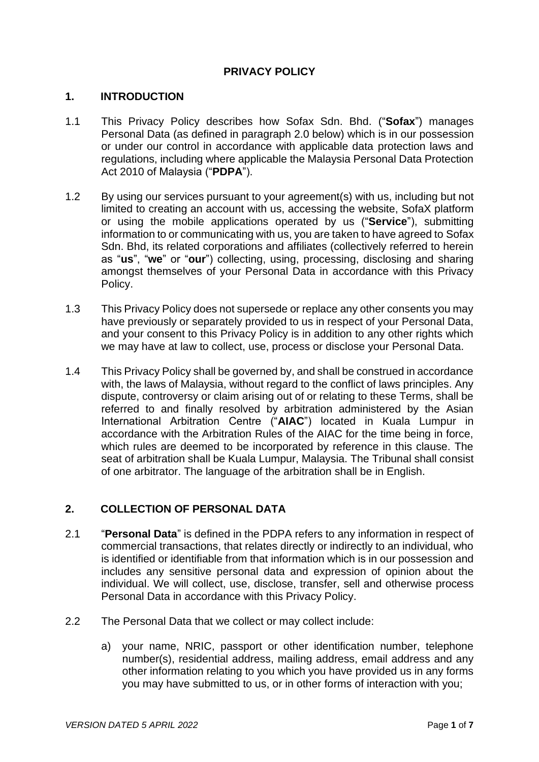# **PRIVACY POLICY**

#### **1. INTRODUCTION**

- 1.1 This Privacy Policy describes how Sofax Sdn. Bhd. ("**Sofax**") manages Personal Data (as defined in paragraph 2.0 below) which is in our possession or under our control in accordance with applicable data protection laws and regulations, including where applicable the Malaysia Personal Data Protection Act 2010 of Malaysia ("**PDPA**").
- 1.2 By using our services pursuant to your agreement(s) with us, including but not limited to creating an account with us, accessing the website, SofaX platform or using the mobile applications operated by us ("**Service**"), submitting information to or communicating with us, you are taken to have agreed to Sofax Sdn. Bhd, its related corporations and affiliates (collectively referred to herein as "**us**", "**we**" or "**our**") collecting, using, processing, disclosing and sharing amongst themselves of your Personal Data in accordance with this Privacy Policy.
- 1.3 This Privacy Policy does not supersede or replace any other consents you may have previously or separately provided to us in respect of your Personal Data, and your consent to this Privacy Policy is in addition to any other rights which we may have at law to collect, use, process or disclose your Personal Data.
- 1.4 This Privacy Policy shall be governed by, and shall be construed in accordance with, the laws of Malaysia, without regard to the conflict of laws principles. Any dispute, controversy or claim arising out of or relating to these Terms, shall be referred to and finally resolved by arbitration administered by the Asian International Arbitration Centre ("**AIAC**") located in Kuala Lumpur in accordance with the Arbitration Rules of the AIAC for the time being in force, which rules are deemed to be incorporated by reference in this clause. The seat of arbitration shall be Kuala Lumpur, Malaysia. The Tribunal shall consist of one arbitrator. The language of the arbitration shall be in English.

## **2. COLLECTION OF PERSONAL DATA**

- 2.1 "**Personal Data**" is defined in the PDPA refers to any information in respect of commercial transactions, that relates directly or indirectly to an individual, who is identified or identifiable from that information which is in our possession and includes any sensitive personal data and expression of opinion about the individual. We will collect, use, disclose, transfer, sell and otherwise process Personal Data in accordance with this Privacy Policy.
- 2.2 The Personal Data that we collect or may collect include:
	- a) your name, NRIC, passport or other identification number, telephone number(s), residential address, mailing address, email address and any other information relating to you which you have provided us in any forms you may have submitted to us, or in other forms of interaction with you;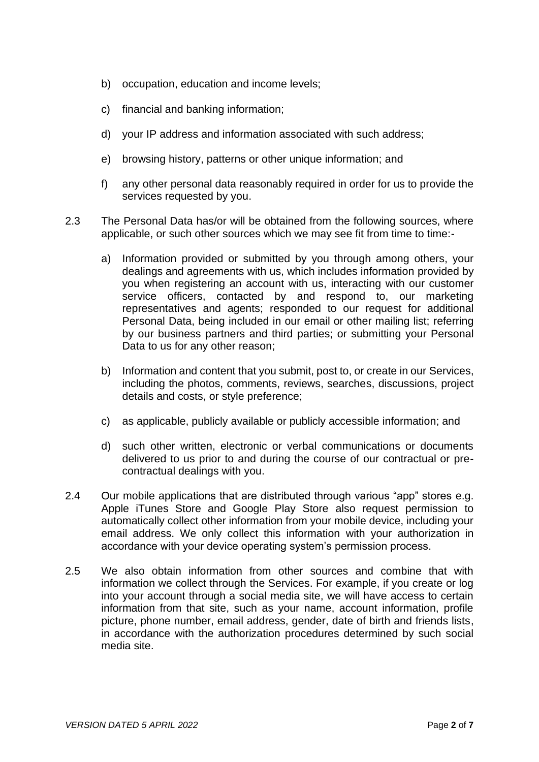- b) occupation, education and income levels;
- c) financial and banking information;
- d) your IP address and information associated with such address;
- e) browsing history, patterns or other unique information; and
- f) any other personal data reasonably required in order for us to provide the services requested by you.
- 2.3 The Personal Data has/or will be obtained from the following sources, where applicable, or such other sources which we may see fit from time to time:
	- a) Information provided or submitted by you through among others, your dealings and agreements with us, which includes information provided by you when registering an account with us, interacting with our customer service officers, contacted by and respond to, our marketing representatives and agents; responded to our request for additional Personal Data, being included in our email or other mailing list; referring by our business partners and third parties; or submitting your Personal Data to us for any other reason;
	- b) Information and content that you submit, post to, or create in our Services, including the photos, comments, reviews, searches, discussions, project details and costs, or style preference;
	- c) as applicable, publicly available or publicly accessible information; and
	- d) such other written, electronic or verbal communications or documents delivered to us prior to and during the course of our contractual or precontractual dealings with you.
- 2.4 Our mobile applications that are distributed through various "app" stores e.g. Apple iTunes Store and Google Play Store also request permission to automatically collect other information from your mobile device, including your email address. We only collect this information with your authorization in accordance with your device operating system's permission process.
- 2.5 We also obtain information from other sources and combine that with information we collect through the Services. For example, if you create or log into your account through a social media site, we will have access to certain information from that site, such as your name, account information, profile picture, phone number, email address, gender, date of birth and friends lists, in accordance with the authorization procedures determined by such social media site.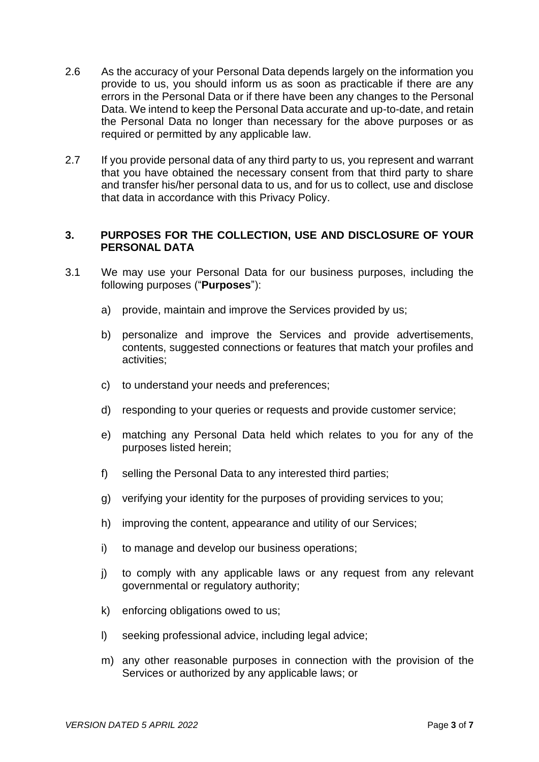- 2.6 As the accuracy of your Personal Data depends largely on the information you provide to us, you should inform us as soon as practicable if there are any errors in the Personal Data or if there have been any changes to the Personal Data. We intend to keep the Personal Data accurate and up-to-date, and retain the Personal Data no longer than necessary for the above purposes or as required or permitted by any applicable law.
- 2.7 If you provide personal data of any third party to us, you represent and warrant that you have obtained the necessary consent from that third party to share and transfer his/her personal data to us, and for us to collect, use and disclose that data in accordance with this Privacy Policy.

### **3. PURPOSES FOR THE COLLECTION, USE AND DISCLOSURE OF YOUR PERSONAL DATA**

- 3.1 We may use your Personal Data for our business purposes, including the following purposes ("**Purposes**"):
	- a) provide, maintain and improve the Services provided by us;
	- b) personalize and improve the Services and provide advertisements, contents, suggested connections or features that match your profiles and activities;
	- c) to understand your needs and preferences;
	- d) responding to your queries or requests and provide customer service;
	- e) matching any Personal Data held which relates to you for any of the purposes listed herein;
	- f) selling the Personal Data to any interested third parties;
	- g) verifying your identity for the purposes of providing services to you;
	- h) improving the content, appearance and utility of our Services;
	- i) to manage and develop our business operations;
	- j) to comply with any applicable laws or any request from any relevant governmental or regulatory authority;
	- k) enforcing obligations owed to us;
	- l) seeking professional advice, including legal advice;
	- m) any other reasonable purposes in connection with the provision of the Services or authorized by any applicable laws; or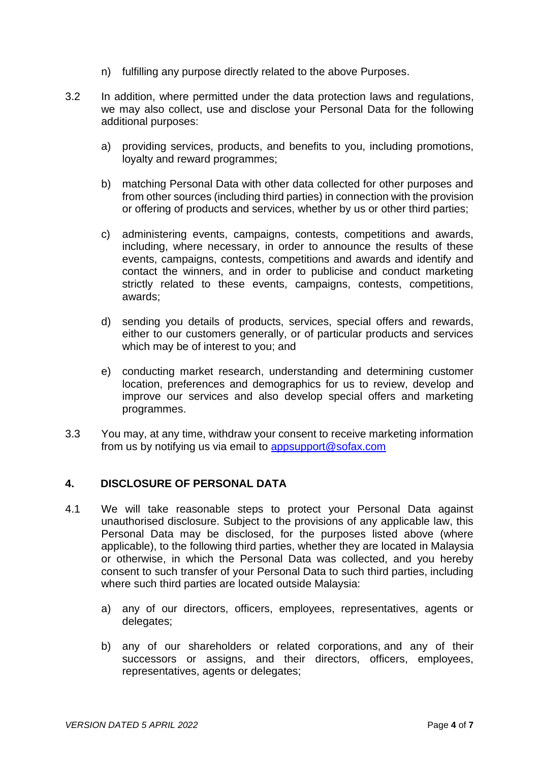- n) fulfilling any purpose directly related to the above Purposes.
- 3.2 In addition, where permitted under the data protection laws and regulations, we may also collect, use and disclose your Personal Data for the following additional purposes:
	- a) providing services, products, and benefits to you, including promotions, loyalty and reward programmes;
	- b) matching Personal Data with other data collected for other purposes and from other sources (including third parties) in connection with the provision or offering of products and services, whether by us or other third parties;
	- c) administering events, campaigns, contests, competitions and awards, including, where necessary, in order to announce the results of these events, campaigns, contests, competitions and awards and identify and contact the winners, and in order to publicise and conduct marketing strictly related to these events, campaigns, contests, competitions, awards;
	- d) sending you details of products, services, special offers and rewards, either to our customers generally, or of particular products and services which may be of interest to you; and
	- e) conducting market research, understanding and determining customer location, preferences and demographics for us to review, develop and improve our services and also develop special offers and marketing programmes.
- 3.3 You may, at any time, withdraw your consent to receive marketing information from us by notifying us via email to [appsupport@sofax.com](mailto:appsupport@sofax.com)

### **4. DISCLOSURE OF PERSONAL DATA**

- 4.1 We will take reasonable steps to protect your Personal Data against unauthorised disclosure. Subject to the provisions of any applicable law, this Personal Data may be disclosed, for the purposes listed above (where applicable), to the following third parties, whether they are located in Malaysia or otherwise, in which the Personal Data was collected, and you hereby consent to such transfer of your Personal Data to such third parties, including where such third parties are located outside Malaysia:
	- a) any of our directors, officers, employees, representatives, agents or delegates;
	- b) any of our shareholders or related corporations, and any of their successors or assigns, and their directors, officers, employees, representatives, agents or delegates;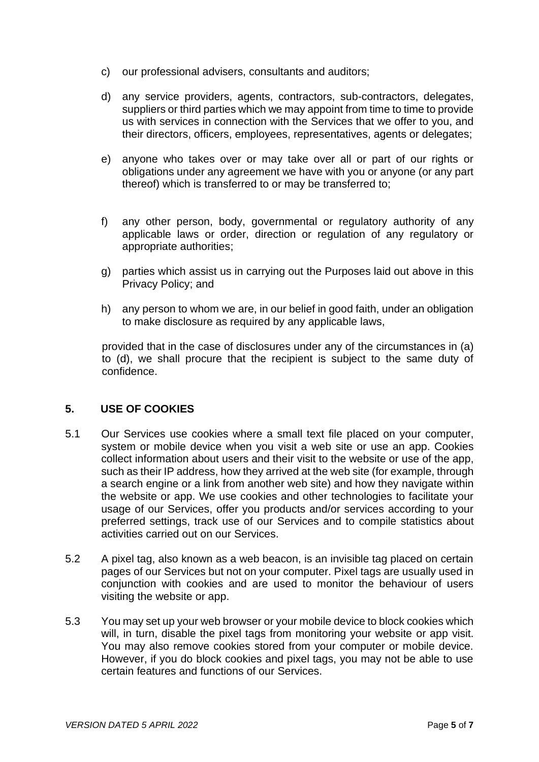- c) our professional advisers, consultants and auditors;
- d) any service providers, agents, contractors, sub-contractors, delegates, suppliers or third parties which we may appoint from time to time to provide us with services in connection with the Services that we offer to you, and their directors, officers, employees, representatives, agents or delegates;
- e) anyone who takes over or may take over all or part of our rights or obligations under any agreement we have with you or anyone (or any part thereof) which is transferred to or may be transferred to;
- f) any other person, body, governmental or regulatory authority of any applicable laws or order, direction or regulation of any regulatory or appropriate authorities;
- g) parties which assist us in carrying out the Purposes laid out above in this Privacy Policy; and
- h) any person to whom we are, in our belief in good faith, under an obligation to make disclosure as required by any applicable laws,

provided that in the case of disclosures under any of the circumstances in (a) to (d), we shall procure that the recipient is subject to the same duty of confidence.

# **5. USE OF COOKIES**

- 5.1 Our Services use cookies where a small text file placed on your computer, system or mobile device when you visit a web site or use an app. Cookies collect information about users and their visit to the website or use of the app, such as their IP address, how they arrived at the web site (for example, through a search engine or a link from another web site) and how they navigate within the website or app. We use cookies and other technologies to facilitate your usage of our Services, offer you products and/or services according to your preferred settings, track use of our Services and to compile statistics about activities carried out on our Services.
- 5.2 A pixel tag, also known as a web beacon, is an invisible tag placed on certain pages of our Services but not on your computer. Pixel tags are usually used in conjunction with cookies and are used to monitor the behaviour of users visiting the website or app.
- 5.3 You may set up your web browser or your mobile device to block cookies which will, in turn, disable the pixel tags from monitoring your website or app visit. You may also remove cookies stored from your computer or mobile device. However, if you do block cookies and pixel tags, you may not be able to use certain features and functions of our Services.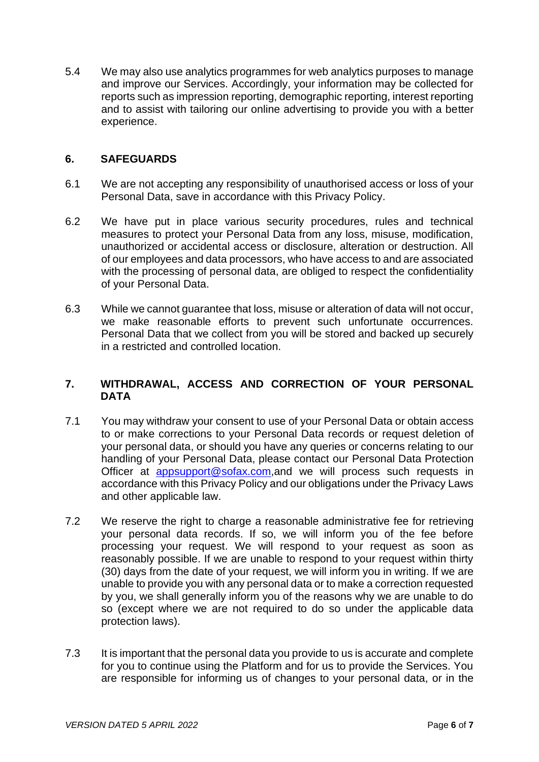5.4 We may also use analytics programmes for web analytics purposes to manage and improve our Services. Accordingly, your information may be collected for reports such as impression reporting, demographic reporting, interest reporting and to assist with tailoring our online advertising to provide you with a better experience.

### **6. SAFEGUARDS**

- 6.1 We are not accepting any responsibility of unauthorised access or loss of your Personal Data, save in accordance with this Privacy Policy.
- 6.2 We have put in place various security procedures, rules and technical measures to protect your Personal Data from any loss, misuse, modification, unauthorized or accidental access or disclosure, alteration or destruction. All of our employees and data processors, who have access to and are associated with the processing of personal data, are obliged to respect the confidentiality of your Personal Data.
- 6.3 While we cannot guarantee that loss, misuse or alteration of data will not occur, we make reasonable efforts to prevent such unfortunate occurrences. Personal Data that we collect from you will be stored and backed up securely in a restricted and controlled location.

# **7. WITHDRAWAL, ACCESS AND CORRECTION OF YOUR PERSONAL DATA**

- 7.1 You may withdraw your consent to use of your Personal Data or obtain access to or make corrections to your Personal Data records or request deletion of your personal data, or should you have any queries or concerns relating to our handling of your Personal Data, please contact our Personal Data Protection Officer at [appsupport@sofax.com,](mailto:appsupport@sofax.com)and we will process such requests in accordance with this Privacy Policy and our obligations under the Privacy Laws and other applicable law.
- 7.2 We reserve the right to charge a reasonable administrative fee for retrieving your personal data records. If so, we will inform you of the fee before processing your request. We will respond to your request as soon as reasonably possible. If we are unable to respond to your request within thirty (30) days from the date of your request, we will inform you in writing. If we are unable to provide you with any personal data or to make a correction requested by you, we shall generally inform you of the reasons why we are unable to do so (except where we are not required to do so under the applicable data protection laws).
- 7.3 It is important that the personal data you provide to us is accurate and complete for you to continue using the Platform and for us to provide the Services. You are responsible for informing us of changes to your personal data, or in the